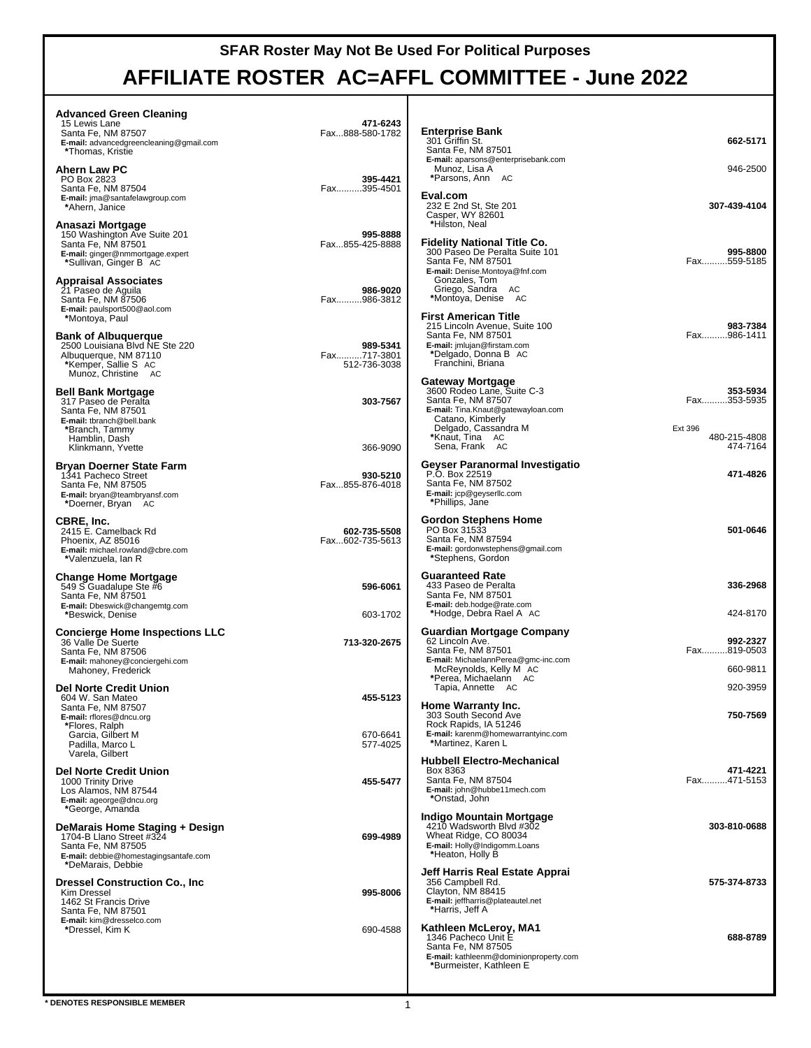### **SFAR Roster May Not Be Used For Political Purposes**

# **AFFILIATE ROSTER AC=AFFL COMMITTEE - June 2022**

| <b>Advanced Green Cleaning</b><br>15 Lewis Lane<br>Santa Fe, NM 87507<br>E-mail: advancedgreencleaning@gmail.com<br>*Thomas, Kristie                   | 471-6243<br>Fax888-580-1782             | <b>Enterprise Bank</b><br>301 Griffin St.<br>Santa Fe, NM 87501                                                                                           | 662-5171                                |
|--------------------------------------------------------------------------------------------------------------------------------------------------------|-----------------------------------------|-----------------------------------------------------------------------------------------------------------------------------------------------------------|-----------------------------------------|
| Ahern Law PC<br>PO Box 2823<br>Santa Fe, NM 87504<br>E-mail: jma@santafelawgroup.com                                                                   | 395-4421<br>Fax395-4501                 | E-mail: aparsons@enterprisebank.com<br>Munoz, Lisa A<br>*Parsons, Ann AC<br>Eval.com                                                                      | 946-2500                                |
| *Ahern, Janice<br>Anasazi Mortgage<br>150 Washington Ave Suite 201<br>Santa Fe, NM 87501<br>E-mail: ginger@nmmortgage.expert<br>*Sullivan, Ginger B AC | 995-8888<br>Fax855-425-8888             | 232 E 2nd St, Ste 201<br>Casper, WY 82601<br>*Hilston, Neal<br><b>Fidelity National Title Co.</b><br>300 Paseo De Peralta Suite 101<br>Santa Fe, NM 87501 | 307-439-4104<br>995-8800<br>Fax559-5185 |
| <b>Appraisal Associates</b><br>21 Paseo de Aguila<br>Santa Fe, NM 87506<br>E-mail: paulsport500@aol.com<br>*Montoya, Paul                              | 986-9020<br>Fax986-3812                 | E-mail: Denise.Montoya@fnf.com<br>Gonzales, Tom<br>Griego, Sandra AC<br>*Montoya, Denise AC<br>First American Title                                       |                                         |
| <b>Bank of Albuguergue</b><br>2500 Louisiana Blvd NE Ste 220<br>Albuquerque, NM 87110<br>*Kemper, Sallie S AC<br>Munoz, Christine AC                   | 989-5341<br>Fax717-3801<br>512-736-3038 | 215 Lincoln Avenue, Suite 100<br>Santa Fe, NM 87501<br>E-mail: jmlujan@firstam.com<br>*Delgado, Donna B AC<br>Franchini, Briana                           | 983-7384<br>Fax986-1411                 |
| <b>Bell Bank Mortgage</b><br>317 Paseo de Peralta<br>Santa Fe. NM 87501<br>E-mail: tbranch@bell.bank<br>*Branch, Tammy                                 | 303-7567                                | Gateway Mortgage<br>3600 Rodeo Lane, Suite C-3<br>Santa Fe, NM 87507<br>E-mail: Tina.Knaut@gatewayloan.com<br>Catano, Kimberly<br>Delgado, Cassandra M    | 353-5934<br>Fax353-5935<br>Ext 396      |
| Hamblin, Dash<br>Klinkmann, Yvette                                                                                                                     | 366-9090                                | *Knaut, Tina AC<br>Sena, Frank AC                                                                                                                         | 480-215-4808<br>474-7164                |
| Bryan Doerner State Farm<br>1341 Pacheco Street<br>Santa Fe, NM 87505<br>E-mail: bryan@teambryansf.com<br>*Doerner, Bryan AC                           | 930-5210<br>Fax855-876-4018             | Geyser Paranormal Investigatio<br>P.O. Box 22519<br>Santa Fe, NM 87502<br>E-mail: jcp@geyserllc.com<br>*Phillips, Jane                                    | 471-4826                                |
| CBRE, Inc.<br>2415 E. Camelback Rd<br>Phoenix, AZ 85016<br>E-mail: michael.rowland@cbre.com<br>*Valenzuela, Ian R                                      | 602-735-5508<br>Fax602-735-5613         | Gordon Stephens Home<br>PO Box 31533<br>Santa Fe, NM 87594<br>E-mail: gordonwstephens@gmail.com<br>*Stephens, Gordon                                      | 501-0646                                |
| <b>Change Home Mortgage</b><br>549 S Guadalupe Ste #6<br>Santa Fe, NM 87501<br>E-mail: Dbeswick@changemtg.com<br>*Beswick, Denise                      | 596-6061<br>603-1702                    | <b>Guaranteed Rate</b><br>433 Paseo de Peralta<br>Santa Fe, NM 87501<br>E-mail: deb.hodge@rate.com<br>*Hodge, Debra Rael A AC                             | 336-2968<br>424-8170                    |
| <b>Concierge Home Inspections LLC</b><br>36 Valle De Suerte<br>Santa Fe, NM 87506<br>E-mail: mahoney@conciergehi.com<br>Mahoney, Frederick             | 713-320-2675                            | Guardian Mortgage Company<br>62 Lincoln Ave.<br>Santa Fe, NM 87501<br>E-mail: MichaelannPerea@gmc-inc.com<br>McReynolds, Kelly M AC                       | 992-2327<br>Fax819-0503<br>660-9811     |
| <b>Del Norte Credit Union</b><br>604 W. San Mateo                                                                                                      | 455-5123                                | *Perea, Michaelann AC<br>Tapia, Annette AC                                                                                                                | 920-3959                                |
| Santa Fe, NM 87507<br>E-mail: rflores@dncu.org<br>*Flores, Ralph                                                                                       |                                         | Home Warranty Inc.<br>303 South Second Ave<br>Rock Rapids, IA 51246                                                                                       | 750-7569                                |
| Garcia, Gilbert M<br>Padilla, Marco L<br>Varela, Gilbert                                                                                               | 670-6641<br>577-4025                    | E-mail: karenm@homewarrantyinc.com<br>*Martinez, Karen L                                                                                                  |                                         |
| <b>Del Norte Credit Union</b><br>1000 Trinity Drive<br>Los Alamos, NM 87544<br>E-mail: ageorge@dncu.org<br>*George, Amanda                             | 455-5477                                | <b>Hubbell Electro-Mechanical</b><br>Box 8363<br>Santa Fe, NM 87504<br>E-mail: john@hubbe11mech.com<br>*Onstad, John                                      | 471-4221<br>Fax471-5153                 |
| DeMarais Home Staging + Design<br>1704-B Llano Street #324<br>Santa Fe, NM 87505<br>E-mail: debbie@homestagingsantafe.com<br>*DeMarais, Debbie         | 699-4989                                | <b>Indigo Mountain Mortgage</b><br>4210 Wadsworth Blvd #302<br>Wheat Ridge, CO 80034<br>E-mail: Holly@Indigomm.Loans<br>*Heaton, Holly B                  | 303-810-0688                            |
| <b>Dressel Construction Co., Inc</b><br>Kim Dressel<br>1462 St Francis Drive<br>Santa Fe, NM 87501                                                     | 995-8006                                | Jeff Harris Real Estate Apprai<br>356 Campbell Rd.<br>Clayton, NM 88415<br>E-mail: jeffharris@plateautel.net<br>*Harris, Jeff A                           | 575-374-8733                            |
| E-mail: kim@dresselco.com<br>*Dressel, Kim K                                                                                                           | 690-4588                                | Kathleen McLeroy, MA1<br>1346 Pacheco Unit E<br>Santa Fe, NM 87505<br>E-mail: kathleenm@dominionproperty.com<br>*Burmeister, Kathleen E                   | 688-8789                                |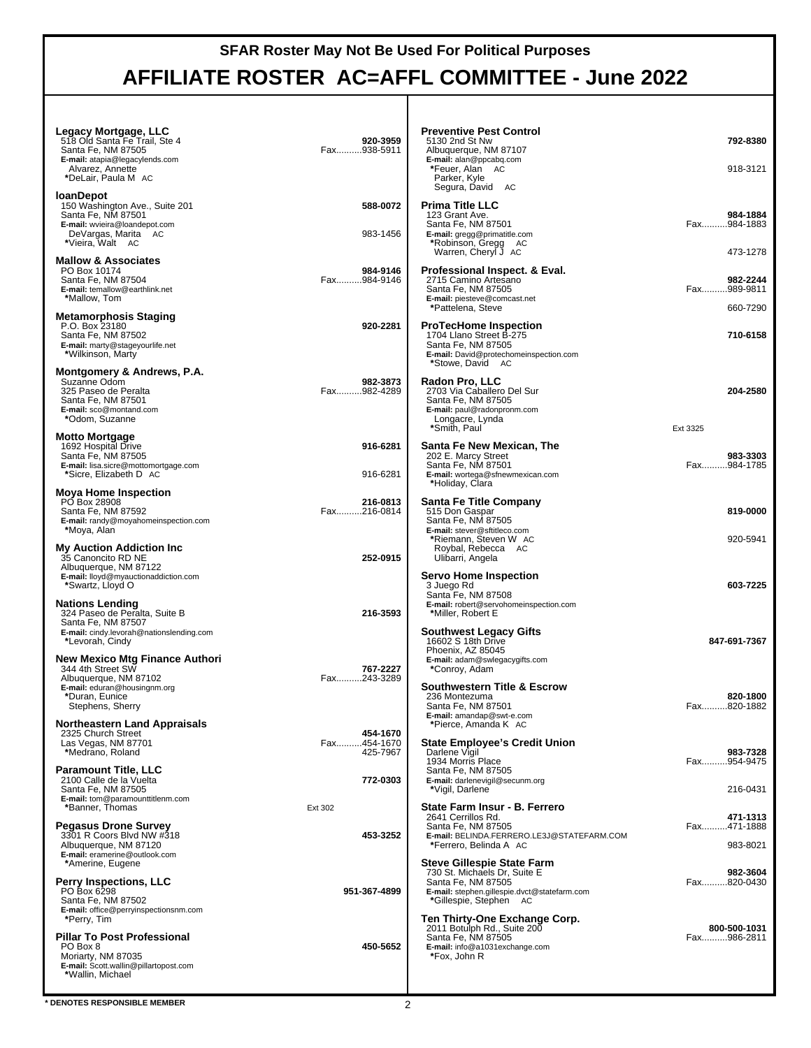## **SFAR Roster May Not Be Used For Political Purposes AFFILIATE ROSTER AC=AFFL COMMITTEE - June 2022**

| Legacy Mortgage, LLC<br>518 Old Santa Fe Trail, Ste 4<br>Santa Fe, NM 87505<br>E-mail: atapia@legacylends.com<br>Alvarez, Annette<br>*DeLair, Paula M   AC | 920-3959<br>Fax938-5911             | <b>Preventive Pest Control</b><br>5130 2nd St Nw<br>Albuquerque, NM 87107<br>E-mail: alan@ppcabq.com<br>*Feuer, Alan AC<br>Parker, Kyle<br>Segura, David AC   | 792-8380<br>918-3121                |
|------------------------------------------------------------------------------------------------------------------------------------------------------------|-------------------------------------|---------------------------------------------------------------------------------------------------------------------------------------------------------------|-------------------------------------|
| <b>IoanDepot</b><br>150 Washington Ave., Suite 201<br>Santa Fe, NM 87501<br>E-mail: wvieira@loandepot.com<br>DeVargas, Marita AC<br>*Vieira, Walt AC       | 588-0072<br>983-1456                | <b>Prima Title LLC</b><br>123 Grant Ave.<br>Santa Fe, NM 87501<br>E-mail: gregg@primatitle.com<br>*Robinson, Gregg AC<br>Warren, Cheryl J AC                  | 984-1884<br>Fax984-1883<br>473-1278 |
| <b>Mallow &amp; Associates</b><br>PO Box 10174<br>Santa Fe, NM 87504<br>E-mail: temallow@earthlink.net<br>*Mallow, Tom                                     | 984-9146<br>Fax984-9146             | Professional Inspect. & Eval.<br>2715 Camino Artesano<br>Santa Fe, NM 87505<br>E-mail: piesteve@comcast.net<br>*Pattelena, Steve                              | 982-2244<br>Fax989-9811<br>660-7290 |
| Metamorphosis Staging<br>P.O. Box 23180<br>Santa Fe, NM 87502<br>E-mail: marty@stageyourlife.net<br>*Wilkinson, Marty                                      | 920-2281                            | <b>ProTecHome Inspection</b><br>1704 Llano Street B-275<br>Santa Fe, NM 87505<br>E-mail: David@protechomeinspection.com<br>*Stowe, David AC                   | 710-6158                            |
| Montgomery & Andrews, P.A.<br>Suzanne Odom<br>325 Paseo de Peralta<br>Santa Fe, NM 87501<br>E-mail: sco@montand.com<br>*Odom, Suzanne                      | 982-3873<br>Fax982-4289             | Radon Pro, LLC<br>2703 Via Caballero Del Sur<br>Santa Fe, NM 87505<br>E-mail: paul@radonpronm.com<br>Longacre, Lynda<br>*Smith, Paul                          | 204-2580<br>Ext 3325                |
| <b>Motto Mortgage</b><br>1692 Hospital Drive<br>Santa Fe, NM 87505<br>E-mail: lisa.sicre@mottomortgage.com<br>*Sicre, Elizabeth D AC                       | 916-6281<br>916-6281                | Santa Fe New Mexican, The<br>202 E. Marcy Street<br>Santa Fe. NM 87501<br>E-mail: wortega@sfnewmexican.com<br>*Holiday, Clara                                 | 983-3303<br>Fax984-1785             |
| <b>Moya Home Inspection</b><br>PO Box 28908<br>Santa Fe, NM 87592<br>E-mail: randy@moyahomeinspection.com<br>*Moya, Alan                                   | 216-0813<br>Fax216-0814             | Santa Fe Title Company<br>515 Don Gaspar<br>Santa Fe, NM 87505<br>E-mail: stever@sftitleco.com                                                                | 819-0000                            |
| <b>My Auction Addiction Inc</b><br>35 Canoncito RD NE<br>Albuquerque, NM 87122<br>E-mail: lloyd@myauctionaddiction.com<br>*Swartz, Lloyd O                 | 252-0915                            | *Riemann, Steven W AC<br>Roybal, Rebecca AC<br>Ulibarri, Angela<br><b>Servo Home Inspection</b><br>3 Juego Rd                                                 | 920-5941<br>603-7225                |
| <b>Nations Lending</b><br>324 Paseo de Peralta, Suite B<br>Santa Fe, NM 87507<br>E-mail: cindy.levorah@nationslending.com<br>*Levorah, Cindy               | 216-3593                            | Santa Fe, NM 87508<br>E-mail: robert@servohomeinspection.com<br>*Miller, Robert E<br><b>Southwest Legacy Gifts</b><br>16602 S 18th Drive                      | 847-691-7367                        |
| <b>New Mexico Mtg Finance Authori</b><br>344 4th Street SW<br>Albuquerque, NM 87102<br>E-mail: eduran@housingnm.org<br>*Duran, Eunice                      | 767-2227<br>Fax243-3289             | Phoenix, AZ 85045<br>E-mail: adam@swlegacygifts.com<br>*Conroy, Adam<br><b>Southwestern Title &amp; Escrow</b><br>236 Montezuma                               | 820-1800                            |
| Stephens, Sherry<br><b>Northeastern Land Appraisals</b><br>2325 Church Street<br>Las Vegas, NM 87701<br>*Medrano, Roland                                   | 454-1670<br>Fax454-1670<br>425-7967 | Santa Fe, NM 87501<br>E-mail: amandap@swt-e.com<br>*Pierce, Amanda K AC<br><b>State Employee's Credit Union</b><br>Darlene Vigil                              | Fax820-1882<br>983-7328             |
| <b>Paramount Title, LLC</b><br>2100 Calle de la Vuelta<br>Santa Fe, NM 87505<br>E-mail: tom@paramounttitlenm.com<br>*Banner, Thomas                        | 772-0303<br>Ext 302                 | 1934 Morris Place<br>Santa Fe, NM 87505<br>E-mail: darlenevigil@secunm.org<br>*Vigil, Darlene<br>State Farm Insur - B. Ferrero                                | Fax954-9475<br>216-0431             |
| <b>Pegasus Drone Survey</b><br>3301 R Coors Blvd NW #318<br>Albuquerque, NM 87120<br>E-mail: eramerine@outlook.com<br>*Amerine, Eugene                     | 453-3252                            | 2641 Cerrillos Rd.<br>Santa Fe. NM 87505<br>E-mail: BELINDA.FERRERO.LE3J@STATEFARM.COM<br>*Ferrero, Belinda A AC<br><b>Steve Gillespie State Farm</b>         | 471-1313<br>Fax471-1888<br>983-8021 |
| <b>Perry Inspections, LLC</b><br>PO Box 6298<br>Santa Fe, NM 87502<br>E-mail: office@perryinspectionsnm.com                                                | 951-367-4899                        | 730 St. Michaels Dr, Suite E<br>Santa Fe, NM 87505<br>E-mail: stephen.gillespie.dvct@statefarm.com<br>*Gillespie, Stephen AC<br>Ten Thirty-One Exchange Corp. | 982-3604<br>Fax820-0430             |
| *Perry, Tim<br><b>Pillar To Post Professional</b><br>PO Box 8<br>Moriarty, NM 87035<br>E-mail: Scott.wallin@pillartopost.com<br>*Wallin, Michael           | 450-5652                            | 2011 Botulph Rd., Suite 200<br>Santa Fe, NM 87505<br>E-mail: info@a1031exchange.com<br>*Fox, John R                                                           | 800-500-1031<br>Fax986-2811         |